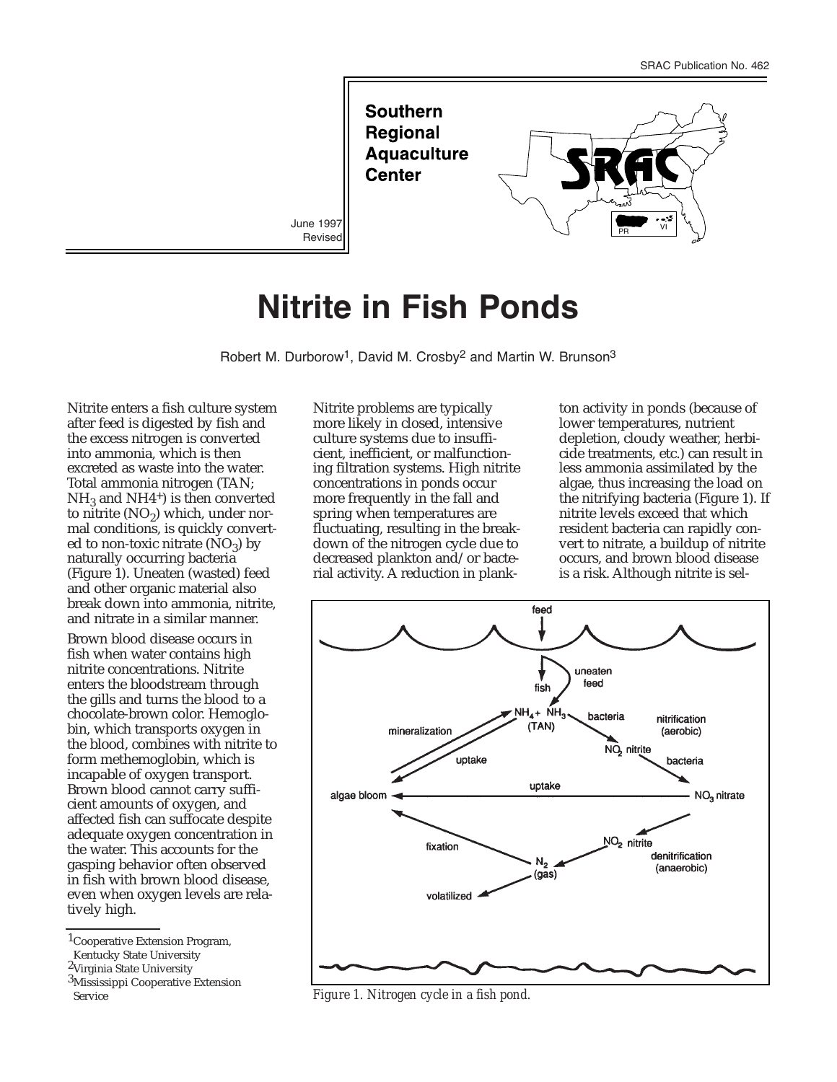

# **Nitrite in Fish Ponds**

Robert M. Durborow<sup>1</sup>, David M. Crosby<sup>2</sup> and Martin W. Brunson<sup>3</sup>

Nitrite enters a fish culture system after feed is digested by fish and the excess nitrogen is converted into ammonia, which is then excreted as waste into the water. Total ammonia nitrogen (TAN;  $NH<sub>3</sub>$  and NH4<sup>+</sup>) is then converted to nitrite  $(NO<sub>2</sub>)$  which, under normal conditions, is quickly converted to non-toxic nitrate  $(NO_3)$  by naturally occurring bacteria (Figure 1). Uneaten (wasted) feed and other organic material also break down into ammonia, nitrite, and nitrate in a similar manner.

Brown blood disease occurs in fish when water contains high nitrite concentrations. Nitrite enters the bloodstream through the gills and turns the blood to a chocolate-brown color. Hemoglobin, which transports oxygen in the blood, combines with nitrite to form methemoglobin, which is incapable of oxygen transport. Brown blood cannot carry sufficient amounts of oxygen, and affected fish can suffocate despite adequate oxygen concentration in the water. This accounts for the gasping behavior often observed in fish with brown blood disease, even when oxygen levels are relatively high.

Nitrite problems are typically more likely in closed, intensive culture systems due to insufficient, inefficient, or malfunctioning filtration systems. High nitrite concentrations in ponds occur more frequently in the fall and spring when temperatures are fluctuating, resulting in the breakdown of the nitrogen cycle due to decreased plankton and/or bacterial activity. A reduction in plankton activity in ponds (because of lower temperatures, nutrient depletion, cloudy weather, herbicide treatments, etc.) can result in less ammonia assimilated by the algae, thus increasing the load on the nitrifying bacteria (Figure 1). If nitrite levels exceed that which resident bacteria can rapidly convert to nitrate, a buildup of nitrite occurs, and brown blood disease is a risk. Although nitrite is sel-



Service *Figure 1. Nitrogen cycle in a fish pond.*

<sup>1</sup>Cooperative Extension Program,

Kentucky State University

<sup>2</sup>Virginia State University

<sup>3</sup>Mississippi Cooperative Extension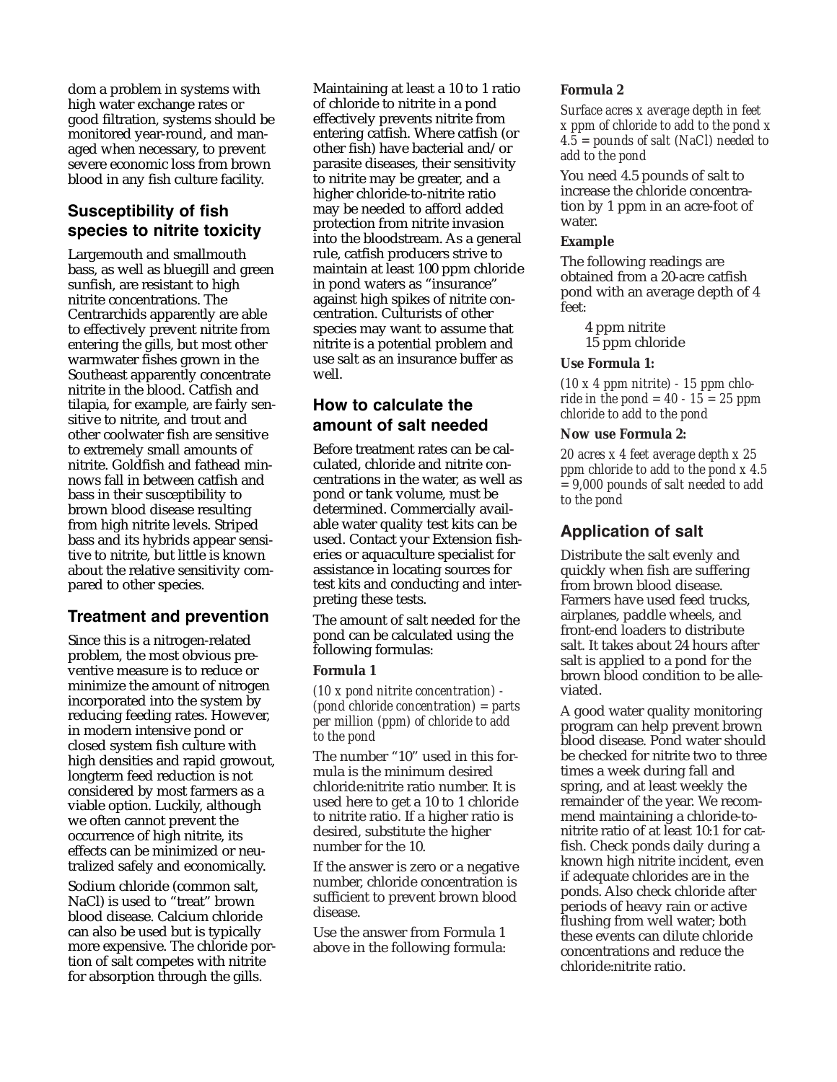dom a problem in systems with high water exchange rates or good filtration, systems should be monitored year-round, and managed when necessary, to prevent severe economic loss from brown blood in any fish culture facility.

# **Susceptibility of fish species to nitrite toxicity**

Largemouth and smallmouth bass, as well as bluegill and green sunfish, are resistant to high nitrite concentrations. The Centrarchids apparently are able to effectively prevent nitrite from entering the gills, but most other warmwater fishes grown in the Southeast apparently concentrate nitrite in the blood. Catfish and tilapia, for example, are fairly sensitive to nitrite, and trout and other coolwater fish are sensitive to extremely small amounts of nitrite. Goldfish and fathead minnows fall in between catfish and bass in their susceptibility to brown blood disease resulting from high nitrite levels. Striped bass and its hybrids appear sensitive to nitrite, but little is known about the relative sensitivity compared to other species.

## **Treatment and prevention**

Since this is a nitrogen-related problem, the most obvious preventive measure is to reduce or minimize the amount of nitrogen incorporated into the system by reducing feeding rates. However, in modern intensive pond or closed system fish culture with high densities and rapid growout, longterm feed reduction is not considered by most farmers as a viable option. Luckily, although we often cannot prevent the occurrence of high nitrite, its effects can be minimized or neutralized safely and economically.

Sodium chloride (common salt, NaCl) is used to "treat" brown blood disease. Calcium chloride can also be used but is typically more expensive. The chloride portion of salt competes with nitrite for absorption through the gills.

Maintaining at least a 10 to 1 ratio of chloride to nitrite in a pond effectively prevents nitrite from entering catfish. Where catfish (or other fish) have bacterial and/or parasite diseases, their sensitivity to nitrite may be greater, and a higher chloride-to-nitrite ratio may be needed to afford added protection from nitrite invasion into the bloodstream. As a general rule, catfish producers strive to maintain at least 100 ppm chloride in pond waters as "insurance" against high spikes of nitrite concentration. Culturists of other species may want to assume that nitrite is a potential problem and use salt as an insurance buffer as well.

## **How to calculate the amount of salt needed**

Before treatment rates can be calculated, chloride and nitrite concentrations in the water, as well as pond or tank volume, must be determined. Commercially available water quality test kits can be used. Contact your Extension fisheries or aquaculture specialist for assistance in locating sources for test kits and conducting and interpreting these tests.

The amount of salt needed for the pond can be calculated using the following formulas:

### **Formula 1**

*(10 x pond nitrite concentration) - (pond chloride concentration) = parts per million (ppm) of chloride to add to the pond*

The number "10" used in this formula is the minimum desired chloride:nitrite ratio number. It is used here to get a 10 to 1 chloride to nitrite ratio. If a higher ratio is desired, substitute the higher number for the 10.

If the answer is zero or a negative number, chloride concentration is sufficient to prevent brown blood disease.

Use the answer from Formula 1 above in the following formula:

#### **Formula 2**

*Surface acres x average depth in feet x ppm of chloride to add to the pond x 4.5 = pounds of salt (NaCl) needed to add to the pond*

You need 4.5 pounds of salt to increase the chloride concentration by 1 ppm in an acre-foot of water.

#### **Example**

The following readings are obtained from a 20-acre catfish pond with an average depth of 4 feet:

4 ppm nitrite 15 ppm chloride

#### **Use Formula 1:**

*(10 x 4 ppm nitrite) - 15 ppm chloride in the pond = 40 - 15 = 25 ppm chloride to add to the pond*

#### **Now use Formula 2:**

*20 acres x 4 feet average depth x 25 ppm chloride to add to the pond x 4.5 = 9,000 pounds of salt needed to add to the pond*

## **Application of salt**

Distribute the salt evenly and quickly when fish are suffering from brown blood disease. Farmers have used feed trucks, airplanes, paddle wheels, and front-end loaders to distribute salt. It takes about 24 hours after salt is applied to a pond for the brown blood condition to be alleviated.

A good water quality monitoring program can help prevent brown blood disease. Pond water should be checked for nitrite two to three times a week during fall and spring, and at least weekly the remainder of the year. We recommend maintaining a chloride-tonitrite ratio of at least 10:1 for catfish. Check ponds daily during a known high nitrite incident, even if adequate chlorides are in the ponds. Also check chloride after periods of heavy rain or active flushing from well water; both these events can dilute chloride concentrations and reduce the chloride:nitrite ratio.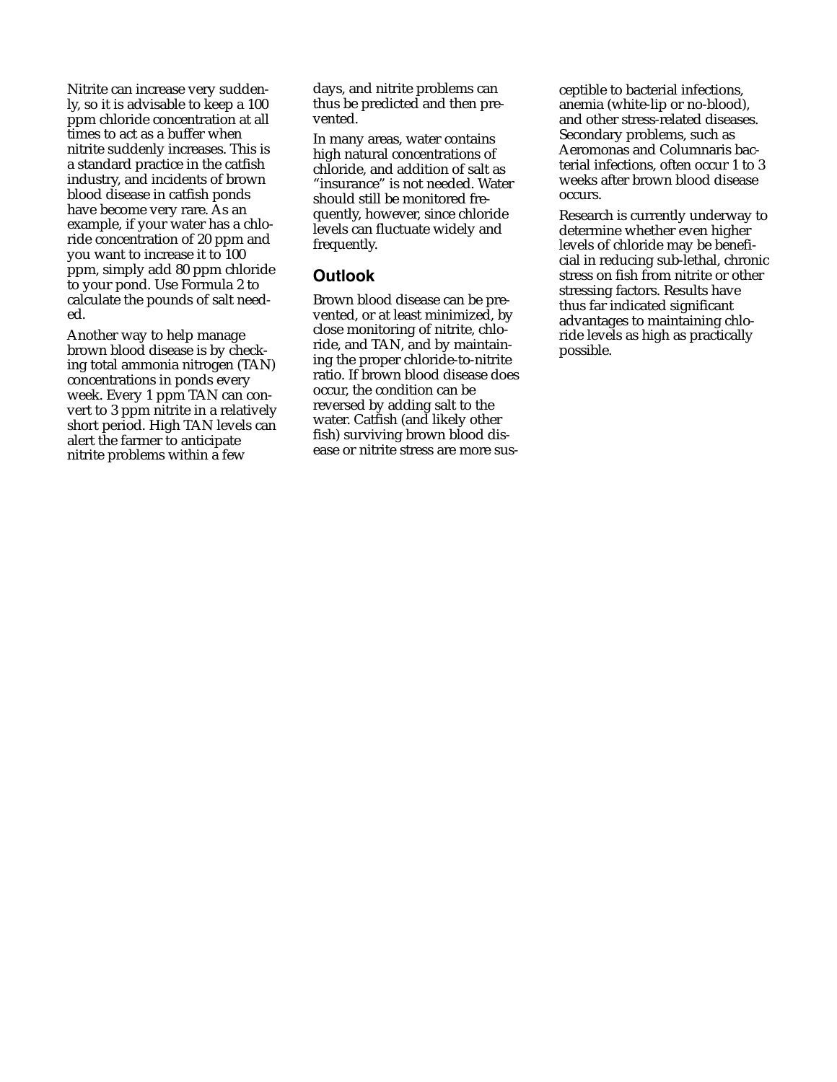Nitrite can increase very suddenly, so it is advisable to keep a 100 ppm chloride concentration at all times to act as a buffer when nitrite suddenly increases. This is a standard practice in the catfish industry, and incidents of brown blood disease in catfish ponds have become very rare. As an example, if your water has a chloride concentration of 20 ppm and you want to increase it to 100 ppm, simply add 80 ppm chloride to your pond. Use Formula 2 to calculate the pounds of salt needed.

Another way to help manage brown blood disease is by checking total ammonia nitrogen (TAN) concentrations in ponds every week. Every 1 ppm TAN can convert to 3 ppm nitrite in a relatively short period. High TAN levels can alert the farmer to anticipate nitrite problems within a few

days, and nitrite problems can thus be predicted and then prevented.

In many areas, water contains high natural concentrations of chloride, and addition of salt as "insurance" is not needed. Water should still be monitored frequently, however, since chloride levels can fluctuate widely and frequently.

## **Outlook**

Brown blood disease can be prevented, or at least minimized, by close monitoring of nitrite, chloride, and TAN, and by maintaining the proper chloride-to-nitrite ratio. If brown blood disease does occur, the condition can be reversed by adding salt to the water. Catfish (and likely other fish) surviving brown blood disease or nitrite stress are more susceptible to bacterial infections, anemia (white-lip or no-blood), and other stress-related diseases. Secondary problems, such as Aeromonas and Columnaris bacterial infections, often occur 1 to 3 weeks after brown blood disease occurs.

Research is currently underway to determine whether even higher levels of chloride may be beneficial in reducing sub-lethal, chronic stress on fish from nitrite or other stressing factors. Results have thus far indicated significant advantages to maintaining chloride levels as high as practically possible.